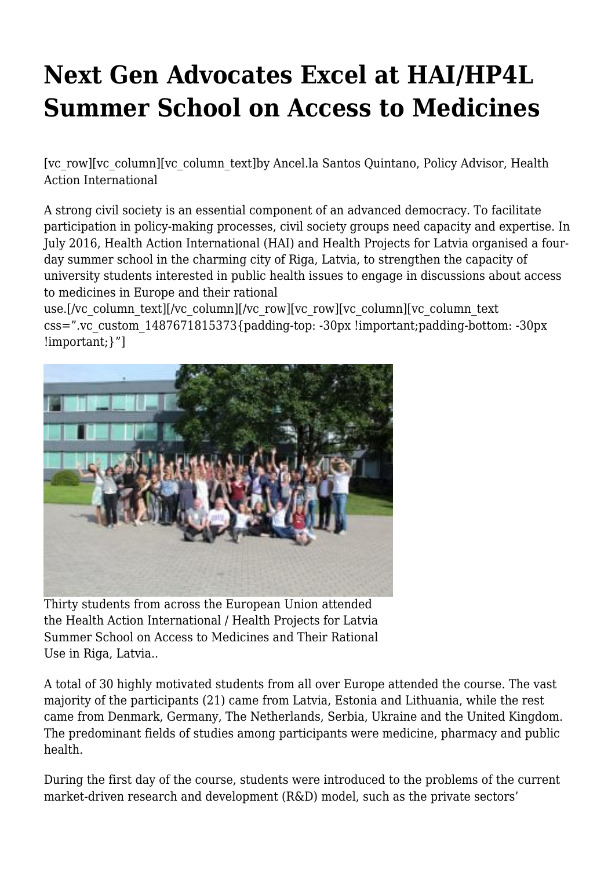## **Next Gen Advocates Excel at HAI/HP4L Summer School on Access to Medicines**

[vc\_row][vc\_column][vc\_column\_text]by Ancel.la Santos Quintano, Policy Advisor, Health Action International

A strong civil society is an essential component of an advanced democracy. To facilitate participation in policy-making processes, civil society groups need capacity and expertise. In July 2016, Health Action International (HAI) and Health Projects for Latvia organised a fourday summer school in the charming city of Riga, Latvia, to strengthen the capacity of university students interested in public health issues to engage in discussions about access to medicines in Europe and their rational

use.[/vc\_column\_text][/vc\_column][/vc\_row][vc\_row][vc\_column][vc\_column\_text css=".vc\_custom\_1487671815373{padding-top: -30px !important;padding-bottom: -30px !important;}"]



Thirty students from across the European Union attended the Health Action International / Health Projects for Latvia Summer School on Access to Medicines and Their Rational Use in Riga, Latvia..

A total of 30 highly motivated students from all over Europe attended the course. The vast majority of the participants (21) came from Latvia, Estonia and Lithuania, while the rest came from Denmark, Germany, The Netherlands, Serbia, Ukraine and the United Kingdom. The predominant fields of studies among participants were medicine, pharmacy and public health.

During the first day of the course, students were introduced to the problems of the current market-driven research and development (R&D) model, such as the private sectors'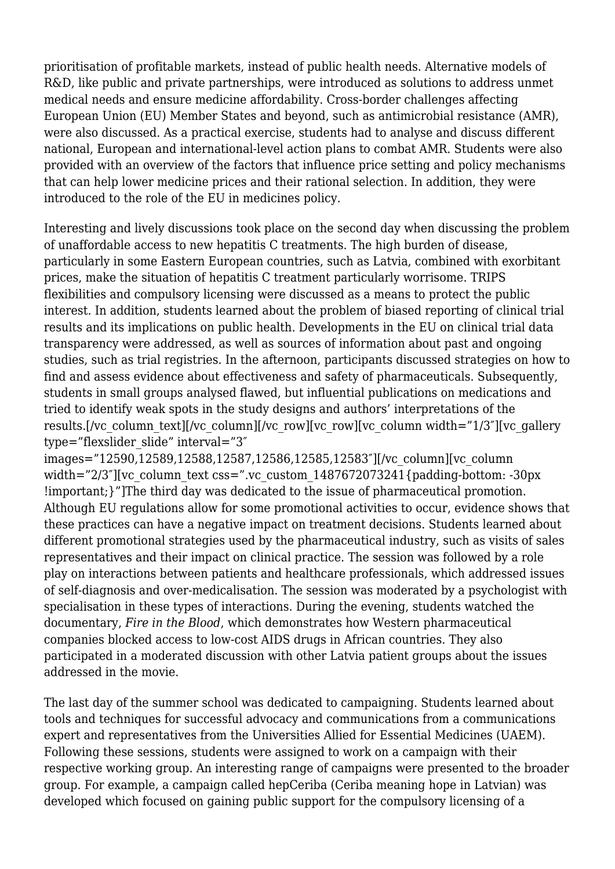prioritisation of profitable markets, instead of public health needs. Alternative models of R&D, like public and private partnerships, were introduced as solutions to address unmet medical needs and ensure medicine affordability. Cross-border challenges affecting European Union (EU) Member States and beyond, such as antimicrobial resistance (AMR), were also discussed. As a practical exercise, students had to analyse and discuss different national, European and international-level action plans to combat AMR. Students were also provided with an overview of the factors that influence price setting and policy mechanisms that can help lower medicine prices and their rational selection. In addition, they were introduced to the role of the EU in medicines policy.

Interesting and lively discussions took place on the second day when discussing the problem of unaffordable access to new hepatitis C treatments. The high burden of disease, particularly in some Eastern European countries, such as Latvia, combined with exorbitant prices, make the situation of hepatitis C treatment particularly worrisome. TRIPS flexibilities and compulsory licensing were discussed as a means to protect the public interest. In addition, students learned about the problem of biased reporting of clinical trial results and its implications on public health. Developments in the EU on clinical trial data transparency were addressed, as well as sources of information about past and ongoing studies, such as trial registries. In the afternoon, participants discussed strategies on how to find and assess evidence about effectiveness and safety of pharmaceuticals. Subsequently, students in small groups analysed flawed, but influential publications on medications and tried to identify weak spots in the study designs and authors' interpretations of the results.[/vc\_column\_text][/vc\_column][/vc\_row][vc\_row][vc\_column width="1/3"][vc\_gallery type="flexslider\_slide" interval="3"

images="12590,12589,12588,12587,12586,12585,12583″][/vc\_column][vc\_column width="2/3"][vc\_column\_text css=".vc\_custom\_1487672073241{padding-bottom: -30px !important;}"]The third day was dedicated to the issue of pharmaceutical promotion. Although EU regulations allow for some promotional activities to occur, evidence shows that these practices can have a negative impact on treatment decisions. Students learned about different promotional strategies used by the pharmaceutical industry, such as visits of sales representatives and their impact on clinical practice. The session was followed by a role play on interactions between patients and healthcare professionals, which addressed issues of self-diagnosis and over-medicalisation. The session was moderated by a psychologist with specialisation in these types of interactions. During the evening, students watched the documentary, *Fire in the Blood*, which demonstrates how Western pharmaceutical companies blocked access to low-cost AIDS drugs in African countries. They also participated in a moderated discussion with other Latvia patient groups about the issues addressed in the movie.

The last day of the summer school was dedicated to campaigning. Students learned about tools and techniques for successful advocacy and communications from a communications expert and representatives from the Universities Allied for Essential Medicines (UAEM). Following these sessions, students were assigned to work on a campaign with their respective working group. An interesting range of campaigns were presented to the broader group. For example, a campaign called hepCeriba (Ceriba meaning hope in Latvian) was developed which focused on gaining public support for the compulsory licensing of a